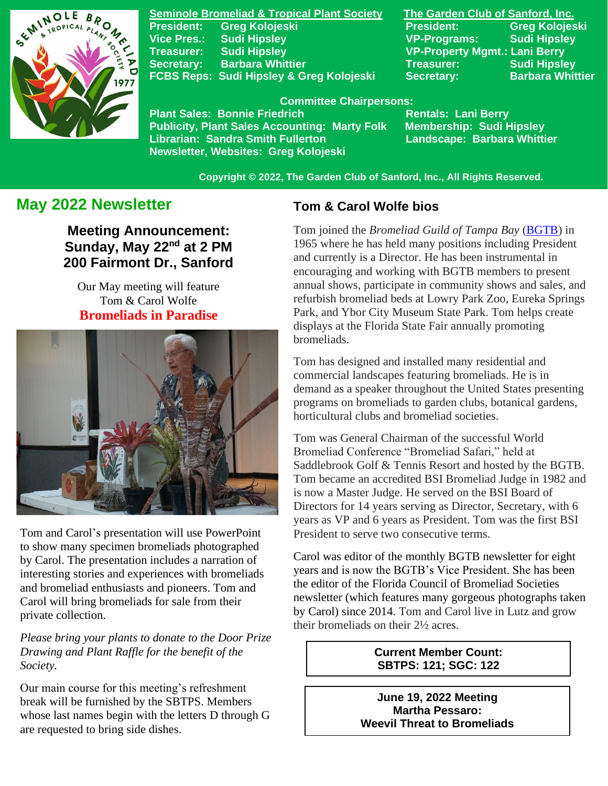

**Seminole Bromeliad & Tropical Plant Society The Garden Club of Sanford, Inc. Vice Pres.: Sudi Hipsley VP-Programs: Sudi Hipsley Treasurer: Sudi Hipsley VP-Property Mgmt.: Lani Berry Secretary:** Barbara Whittier **Network Treasurer:** Sudi Hipsley **FCBS Reps: Sudi Hipsley & Greg Kolojeski Secretary: Barbara Whittier** 

**President: Greg Kolojeski President: Greg Kolojeski** 

#### **Committee Chairpersons:**

Plant Sales: Bonnie Friedrich **Nentals: Lani Berry<br>Publicity, Plant Sales Accounting: Marty Folk Membership: Sudi Hipsley Publicity, Plant Sales Accounting: Marty Folk Librarian: Sandra Smith Fullerton Landscape: Barbara Whittier Newsletter, Websites: Greg Kolojeski**

 **Copyright © 2022, The Garden Club of Sanford, Inc., All Rights Reserved.**

# **May 2022 Newsletter**

**Meeting Announcement:** Sunday, May 22<sup>nd</sup> at 2 PM **200 Fairmont Dr., Sanford**

Our May meeting will feature Tom & Carol Wolfe **Bromeliads in Paradise**



Tom and Carol's presentation will use PowerPoint to show many specimen bromeliads photographed by Carol. The presentation includes a narration of interesting stories and experiences with bromeliads and bromeliad enthusiasts and pioneers. Tom and Carol will bring bromeliads for sale from their private collection.

*Please bring your plants to donate to the Door Prize Drawing and Plant Raffle for the benefit of the Society.*

Our main course for this meeting's refreshment break will be furnished by the SBTPS. Members whose last names begin with the letters D through G are requested to bring side dishes.

## **Tom & Carol Wolfe bios**

Tom joined the *Bromeliad Guild of Tampa Bay* [\(BGTB\)](http://www.bromeliadguildoftampabay.org/) in 1965 where he has held many positions including President and currently is a Director. He has been instrumental in encouraging and working with BGTB members to present annual shows, participate in community shows and sales, and refurbish bromeliad beds at Lowry Park Zoo, Eureka Springs Park, and Ybor City Museum State Park. Tom helps create displays at the Florida State Fair annually promoting bromeliads.

Tom has designed and installed many residential and commercial landscapes featuring bromeliads. He is in demand as a speaker throughout the United States presenting programs on bromeliads to garden clubs, botanical gardens, horticultural clubs and bromeliad societies.

Tom was General Chairman of the successful World Bromeliad Conference "Bromeliad Safari," held at Saddlebrook Golf & Tennis Resort and hosted by the BGTB. Tom became an accredited BSI Bromeliad Judge in 1982 and is now a Master Judge. He served on the BSI Board of Directors for 14 years serving as Director, Secretary, with 6 years as VP and 6 years as President. Tom was the first BSI President to serve two consecutive terms.

Carol was editor of the monthly BGTB newsletter for eight years and is now the BGTB's Vice President. She has been the editor of the Florida Council of Bromeliad Societies newsletter (which features many gorgeous photographs taken by Carol) since 2014. Tom and Carol live in Lutz and grow their bromeliads on their 2½ acres.

> **Current Member Count: SBTPS: 121; SGC: 122**

**June 19, 2022 Meeting Martha Pessaro: Weevil Threat to Bromeliads**